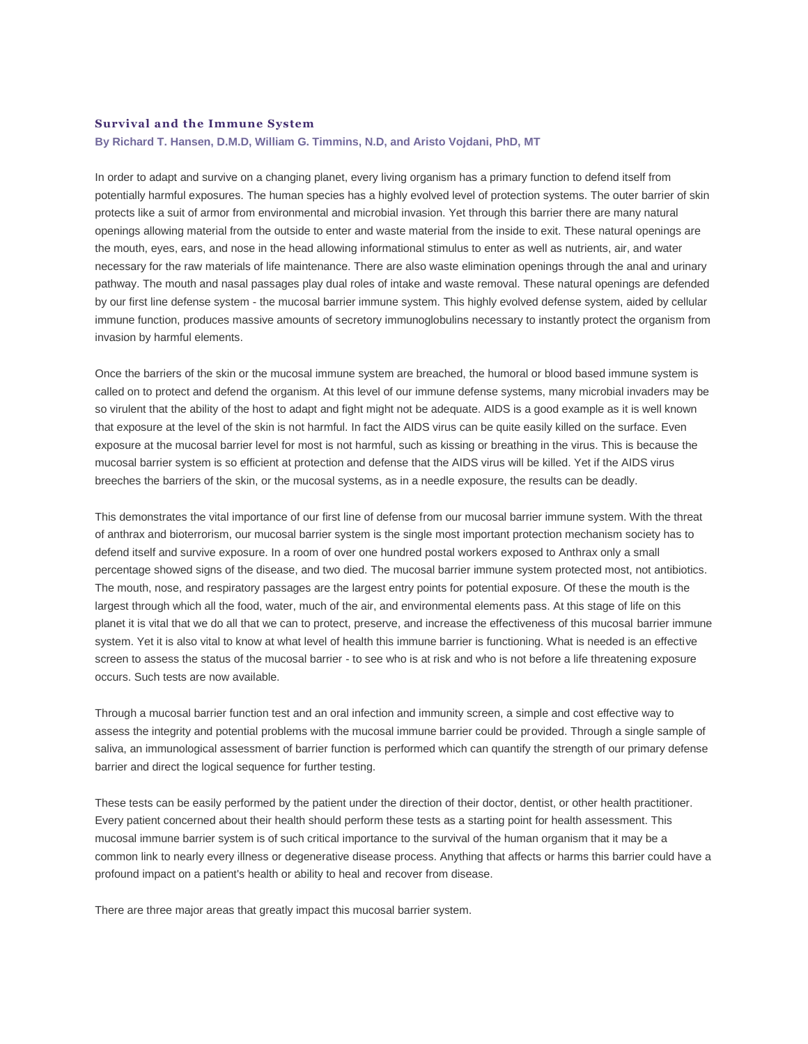## **Survival and the Immune System**

## **By Richard T. Hansen, D.M.D, William G. Timmins, N.D, and Aristo Vojdani, PhD, MT**

In order to adapt and survive on a changing planet, every living organism has a primary function to defend itself from potentially harmful exposures. The human species has a highly evolved level of protection systems. The outer barrier of skin protects like a suit of armor from environmental and microbial invasion. Yet through this barrier there are many natural openings allowing material from the outside to enter and waste material from the inside to exit. These natural openings are the mouth, eyes, ears, and nose in the head allowing informational stimulus to enter as well as nutrients, air, and water necessary for the raw materials of life maintenance. There are also waste elimination openings through the anal and urinary pathway. The mouth and nasal passages play dual roles of intake and waste removal. These natural openings are defended by our first line defense system - the mucosal barrier immune system. This highly evolved defense system, aided by cellular immune function, produces massive amounts of secretory immunoglobulins necessary to instantly protect the organism from invasion by harmful elements.

Once the barriers of the skin or the mucosal immune system are breached, the humoral or blood based immune system is called on to protect and defend the organism. At this level of our immune defense systems, many microbial invaders may be so virulent that the ability of the host to adapt and fight might not be adequate. AIDS is a good example as it is well known that exposure at the level of the skin is not harmful. In fact the AIDS virus can be quite easily killed on the surface. Even exposure at the mucosal barrier level for most is not harmful, such as kissing or breathing in the virus. This is because the mucosal barrier system is so efficient at protection and defense that the AIDS virus will be killed. Yet if the AIDS virus breeches the barriers of the skin, or the mucosal systems, as in a needle exposure, the results can be deadly.

This demonstrates the vital importance of our first line of defense from our mucosal barrier immune system. With the threat of anthrax and bioterrorism, our mucosal barrier system is the single most important protection mechanism society has to defend itself and survive exposure. In a room of over one hundred postal workers exposed to Anthrax only a small percentage showed signs of the disease, and two died. The mucosal barrier immune system protected most, not antibiotics. The mouth, nose, and respiratory passages are the largest entry points for potential exposure. Of these the mouth is the largest through which all the food, water, much of the air, and environmental elements pass. At this stage of life on this planet it is vital that we do all that we can to protect, preserve, and increase the effectiveness of this mucosal barrier immune system. Yet it is also vital to know at what level of health this immune barrier is functioning. What is needed is an effective screen to assess the status of the mucosal barrier - to see who is at risk and who is not before a life threatening exposure occurs. Such tests are now available.

Through a mucosal barrier function test and an oral infection and immunity screen, a simple and cost effective way to assess the integrity and potential problems with the mucosal immune barrier could be provided. Through a single sample of saliva, an immunological assessment of barrier function is performed which can quantify the strength of our primary defense barrier and direct the logical sequence for further testing.

These tests can be easily performed by the patient under the direction of their doctor, dentist, or other health practitioner. Every patient concerned about their health should perform these tests as a starting point for health assessment. This mucosal immune barrier system is of such critical importance to the survival of the human organism that it may be a common link to nearly every illness or degenerative disease process. Anything that affects or harms this barrier could have a profound impact on a patient's health or ability to heal and recover from disease.

There are three major areas that greatly impact this mucosal barrier system.